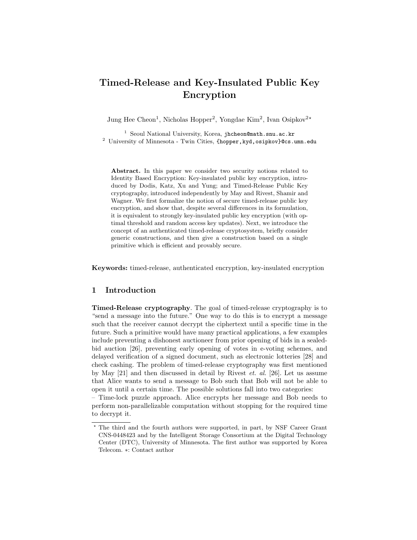# Timed-Release and Key-Insulated Public Key Encryption

Jung Hee Cheon<sup>1</sup>, Nicholas Hopper<sup>2</sup>, Yongdae Kim<sup>2</sup>, Ivan Osipkov<sup>2\*</sup>

<sup>1</sup> Seoul National University, Korea, jhcheon@math.snu.ac.kr <sup>2</sup> University of Minnesota - Twin Cities,  $\{hopper, kyd, osipkov\}$ @cs.umn.edu

Abstract. In this paper we consider two security notions related to Identity Based Encryption: Key-insulated public key encryption, introduced by Dodis, Katz, Xu and Yung; and Timed-Release Public Key cryptography, introduced independently by May and Rivest, Shamir and Wagner. We first formalize the notion of secure timed-release public key encryption, and show that, despite several differences in its formulation, it is equivalent to strongly key-insulated public key encryption (with optimal threshold and random access key updates). Next, we introduce the concept of an authenticated timed-release cryptosystem, briefly consider generic constructions, and then give a construction based on a single primitive which is efficient and provably secure.

Keywords: timed-release, authenticated encryption, key-insulated encryption

## 1 Introduction

Timed-Release cryptography. The goal of timed-release cryptography is to "send a message into the future." One way to do this is to encrypt a message such that the receiver cannot decrypt the ciphertext until a specific time in the future. Such a primitive would have many practical applications, a few examples include preventing a dishonest auctioneer from prior opening of bids in a sealedbid auction [26], preventing early opening of votes in e-voting schemes, and delayed verification of a signed document, such as electronic lotteries [28] and check cashing. The problem of timed-release cryptography was first mentioned by May [21] and then discussed in detail by Rivest et. al. [26]. Let us assume that Alice wants to send a message to Bob such that Bob will not be able to open it until a certain time. The possible solutions fall into two categories:

– Time-lock puzzle approach. Alice encrypts her message and Bob needs to perform non-parallelizable computation without stopping for the required time to decrypt it.

<sup>?</sup> The third and the fourth authors were supported, in part, by NSF Career Grant CNS-0448423 and by the Intelligent Storage Consortium at the Digital Technology Center (DTC), University of Minnesota. The first author was supported by Korea Telecom. ∗: Contact author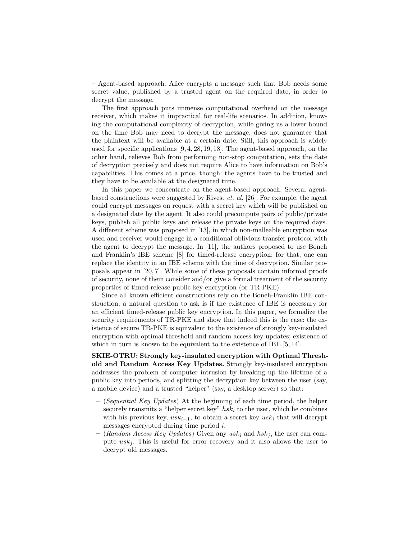– Agent-based approach. Alice encrypts a message such that Bob needs some secret value, published by a trusted agent on the required date, in order to decrypt the message.

The first approach puts immense computational overhead on the message receiver, which makes it impractical for real-life scenarios. In addition, knowing the computational complexity of decryption, while giving us a lower bound on the time Bob may need to decrypt the message, does not guarantee that the plaintext will be available at a certain date. Still, this approach is widely used for specific applications [9, 4, 28, 19, 18]. The agent-based approach, on the other hand, relieves Bob from performing non-stop computation, sets the date of decryption precisely and does not require Alice to have information on Bob's capabilities. This comes at a price, though: the agents have to be trusted and they have to be available at the designated time.

In this paper we concentrate on the agent-based approach. Several agentbased constructions were suggested by Rivest et. al. [26]. For example, the agent could encrypt messages on request with a secret key which will be published on a designated date by the agent. It also could precompute pairs of public/private keys, publish all public keys and release the private keys on the required days. A different scheme was proposed in [13], in which non-malleable encryption was used and receiver would engage in a conditional oblivious transfer protocol with the agent to decrypt the message. In [11], the authors proposed to use Boneh and Franklin's IBE scheme [8] for timed-release encryption: for that, one can replace the identity in an IBE scheme with the time of decryption. Similar proposals appear in [20, 7]. While some of these proposals contain informal proofs of security, none of them consider and/or give a formal treatment of the security properties of timed-release public key encryption (or TR-PKE).

Since all known efficient constructions rely on the Boneh-Franklin IBE construction, a natural question to ask is if the existence of IBE is necessary for an efficient timed-release public key encryption. In this paper, we formalize the security requirements of TR-PKE and show that indeed this is the case: the existence of secure TR-PKE is equivalent to the existence of strongly key-insulated encryption with optimal threshold and random access key updates; existence of which in turn is known to be equivalent to the existence of IBE [5, 14].

SKIE-OTRU: Strongly key-insulated encryption with Optimal Threshold and Random Access Key Updates. Strongly key-insulated encryption addresses the problem of computer intrusion by breaking up the lifetime of a public key into periods, and splitting the decryption key between the user (say, a mobile device) and a trusted "helper" (say, a desktop server) so that:

- $-$  (*Sequential Key Updates*) At the beginning of each time period, the helper securely transmits a "helper secret key"  $hsk_i$  to the user, which he combines with his previous key,  $usk_{i-1}$ , to obtain a secret key  $usk_i$  that will decrypt messages encrypted during time period i.
- (Random Access Key Updates) Given any  $usk_i$  and  $hsk_j$ , the user can compute  $usk_j$ . This is useful for error recovery and it also allows the user to decrypt old messages.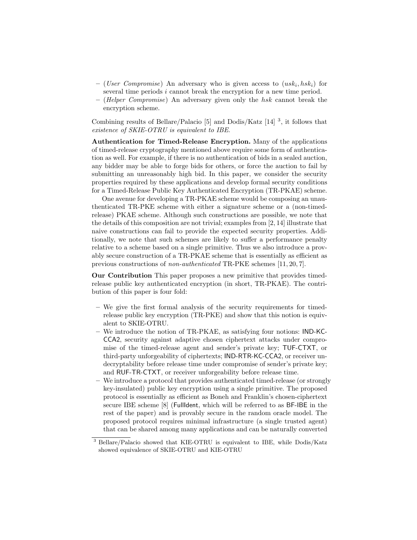- $-$  (*User Compromise*) An adversary who is given access to  $(usk<sub>i</sub>, hsk<sub>i</sub>)$  for several time periods i cannot break the encryption for a new time period.
- (Helper Compromise) An adversary given only the hsk cannot break the encryption scheme.

Combining results of Bellare/Palacio [5] and Dodis/Katz  $[14]$ <sup>3</sup>, it follows that existence of SKIE-OTRU is equivalent to IBE.

Authentication for Timed-Release Encryption. Many of the applications of timed-release cryptography mentioned above require some form of authentication as well. For example, if there is no authentication of bids in a sealed auction, any bidder may be able to forge bids for others, or force the auction to fail by submitting an unreasonably high bid. In this paper, we consider the security properties required by these applications and develop formal security conditions for a Timed-Release Public Key Authenticated Encryption (TR-PKAE) scheme.

One avenue for developing a TR-PKAE scheme would be composing an unauthenticated TR-PKE scheme with either a signature scheme or a (non-timedrelease) PKAE scheme. Although such constructions are possible, we note that the details of this composition are not trivial; examples from [2, 14] illustrate that naive constructions can fail to provide the expected security properties. Additionally, we note that such schemes are likely to suffer a performance penalty relative to a scheme based on a single primitive. Thus we also introduce a provably secure construction of a TR-PKAE scheme that is essentially as efficient as previous constructions of non-authenticated TR-PKE schemes [11, 20, 7].

Our Contribution This paper proposes a new primitive that provides timedrelease public key authenticated encryption (in short, TR-PKAE). The contribution of this paper is four fold:

- We give the first formal analysis of the security requirements for timedrelease public key encryption (TR-PKE) and show that this notion is equivalent to SKIE-OTRU.
- We introduce the notion of TR-PKAE, as satisfying four notions: IND-KC-CCA2, security against adaptive chosen ciphertext attacks under compromise of the timed-release agent and sender's private key; TUF-CTXT, or third-party unforgeability of ciphertexts; IND-RTR-KC-CCA2, or receiver undecryptability before release time under compromise of sender's private key; and RUF-TR-CTXT, or receiver unforgeability before release time.
- We introduce a protocol that provides authenticated timed-release (or strongly key-insulated) public key encryption using a single primitive. The proposed protocol is essentially as efficient as Boneh and Franklin's chosen-ciphertext secure IBE scheme [8] (FullIdent, which will be referred to as BF-IBE in the rest of the paper) and is provably secure in the random oracle model. The proposed protocol requires minimal infrastructure (a single trusted agent) that can be shared among many applications and can be naturally converted

<sup>&</sup>lt;sup>3</sup> Bellare/Palacio showed that KIE-OTRU is equivalent to IBE, while Dodis/Katz showed equivalence of SKIE-OTRU and KIE-OTRU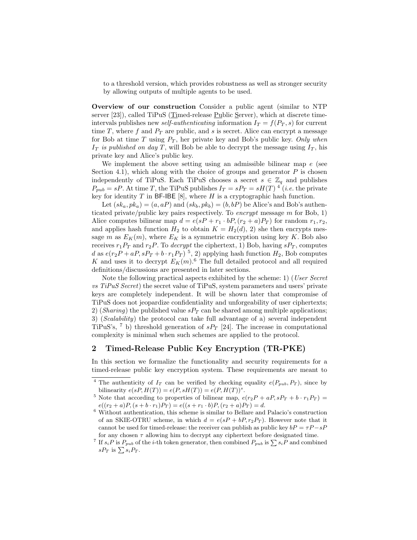to a threshold version, which provides robustness as well as stronger security by allowing outputs of multiple agents to be used.

Overview of our construction Consider a public agent (similar to NTP server [23]), called TiPuS (Timed-release Public Server), which at discrete timeintervals publishes new *self-authenticating* information  $I_T = f(P_T, s)$  for current time T, where f and  $P_T$  are public, and s is secret. Alice can encrypt a message for Bob at time  $T$  using  $P_T$ , her private key and Bob's public key. Only when  $I_T$  is published on day T, will Bob be able to decrypt the message using  $I_T$ , his private key and Alice's public key.

We implement the above setting using an admissible bilinear map  $e$  (see Section 4.1), which along with the choice of groups and generator  $P$  is chosen independently of TiPuS. Each TiPuS chooses a secret  $s \in \mathbb{Z}_q$  and publishes  $P_{pub} = sP$ . At time T, the TiPuS publishes  $I_T = sP_T = sH(T)^{4}$  (*i.e.* the private key for identity  $T$  in BF-IBE [8], where  $H$  is a cryptographic hash function.

Let  $(sk_a, pk_a) = (a, aP)$  and  $(sk_b, pk_b) = (b, bP)$  be Alice's and Bob's authenticated private/public key pairs respectively. To encrypt message  $m$  for Bob, 1) Alice computes bilinear map  $d = e(sP + r_1 \cdot bP, (r_2 + a)P_T)$  for random  $r_1, r_2$ , and applies hash function  $H_2$  to obtain  $K = H_2(d)$ , 2) she then encrypts message m as  $E_K(m)$ , where  $E_K$  is a symmetric encryption using key K. Bob also receives  $r_1P_T$  and  $r_2P$ . To *decrypt* the ciphertext, 1) Bob, having  $sP_T$ , computes d as  $e(r_2P + aP, sP_T + b \cdot r_1P_T)^{-5}$ , 2) applying hash function  $H_2$ , Bob computes K and uses it to decrypt  $E_K(m)$ .<sup>6</sup> The full detailed protocol and all required definitions/discussions are presented in later sections.

Note the following practical aspects exhibited by the scheme: 1) (User Secret vs TiPuS Secret) the secret value of TiPuS, system parameters and users' private keys are completely independent. It will be shown later that compromise of TiPuS does not jeopardize confidentiality and unforgeability of user ciphertexts; 2) (Sharing) the published value  $sP_T$  can be shared among multiple applications; 3) (Scalability) the protocol can take full advantage of a) several independent TiPuS's,  $\frac{7}{5}$  b) threshold generation of  $sP_T$  [24]. The increase in computational complexity is minimal when such schemes are applied to the protocol.

# 2 Timed-Release Public Key Encryption (TR-PKE)

In this section we formalize the functionality and security requirements for a timed-release public key encryption system. These requirements are meant to

<sup>&</sup>lt;sup>4</sup> The authenticity of  $I_T$  can be verified by checking equality  $e(P_{pub}, P_T)$ , since by bilinearity  $e(sP, H(T)) = e(P, sH(T)) = e(P, H(T))$ <sup>s</sup>.

<sup>&</sup>lt;sup>5</sup> Note that according to properties of bilinear map,  $e(r_2P + aP, sP_T + b \cdot r_1P_T)$  $e((r_2 + a)P, (s + b \cdot r_1)P_T) = e((s + r_1 \cdot b)P, (r_2 + a)P_T) = d.$ 

 $^6$  Without authentication, this scheme is similar to Bellare and Palacio's construction of an SKIE-OTRU scheme, in which  $d = e(sP + bP, r_2P_T)$ . However note that it cannot be used for timed-release: the receiver can publish as public key  $bP = \tau P - sP$ for any chosen  $\tau$  allowing him to decrypt any ciphertext before designated time.

<sup>&</sup>lt;sup>7</sup> If  $s_i P$  is  $P_{pub}$  of the *i*-th token generator, then combined  $P_{pub}$  is  $\sum s_i P$  and combined  $sP_T$  is  $\sum s_i P_T$ .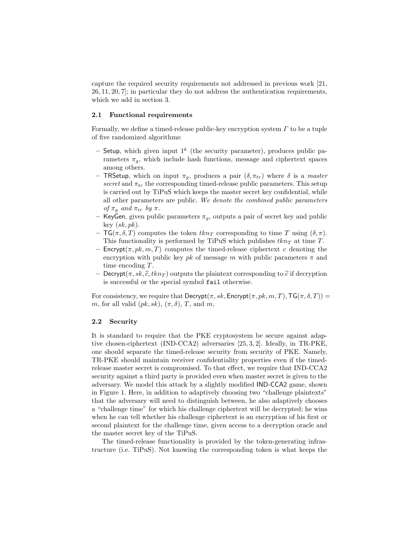capture the required security requirements not addressed in previous work [21, 26, 11, 20, 7]; in particular they do not address the authentication requirements, which we add in section 3.

#### 2.1 Functional requirements

Formally, we define a timed-release public-key encryption system  $\Gamma$  to be a tuple of five randomized algorithms:

- Setup, which given input  $1^k$  (the security parameter), produces public parameters  $\pi_q$ , which include hash functions, message and ciphertext spaces among others.
- TRSetup, which on input  $\pi_g$ , produces a pair  $(\delta, \pi_{tr})$  where  $\delta$  is a master secret and  $\pi_{tr}$  the corresponding timed-release public parameters. This setup is carried out by TiPuS which keeps the master secret key confidential, while all other parameters are public. We denote the combined public parameters of  $\pi_g$  and  $\pi_{tr}$  by  $\pi$ .
- KeyGen, given public parameters  $\pi_g$ , outputs a pair of secret key and public key  $(sk, pk)$ .
- $\mathsf{TG}(\pi, \delta, T)$  computes the token  $tkn_T$  corresponding to time T using  $(\delta, \pi)$ . This functionality is performed by TiPuS which publishes  $tkn<sub>T</sub>$  at time T.
- Encrypt( $\pi, pk, m, T$ ) computes the timed-release ciphertext c denoting the encryption with public key pk of message m with public parameters  $\pi$  and time encoding T.
- Decrypt( $\pi, sk, \hat{c}, tkn_T$ ) outputs the plaintext corresponding to  $\hat{c}$  if decryption is successful or the special symbol fail otherwise.

For consistency, we require that  $\mathsf{Decrypt}(\pi, sk, \mathsf{Encrypt}(\pi, pk, m, T), \mathsf{TG}(\pi, \delta, T)) =$ m, for all valid  $(pk, sk)$ ,  $(\pi, \delta)$ , T, and m,

## 2.2 Security

It is standard to require that the PKE cryptosystem be secure against adaptive chosen-ciphertext (IND-CCA2) adversaries [25, 3, 2]. Ideally, in TR-PKE, one should separate the timed-release security from security of PKE. Namely, TR-PKE should maintain receiver confidentiality properties even if the timedrelease master secret is compromised. To that effect, we require that IND-CCA2 security against a third party is provided even when master secret is given to the adversary. We model this attack by a slightly modified IND-CCA2 game, shown in Figure 1. Here, in addition to adaptively choosing two "challenge plaintexts" that the adversary will need to distinguish between, he also adaptively chooses a "challenge time" for which his challenge ciphertext will be decrypted; he wins when he can tell whether his challenge ciphertext is an encryption of his first or second plaintext for the challenge time, given access to a decryption oracle and the master secret key of the TiPuS.

The timed-release functionality is provided by the token-generating infrastructure (i.e. TiPuS). Not knowing the corresponding token is what keeps the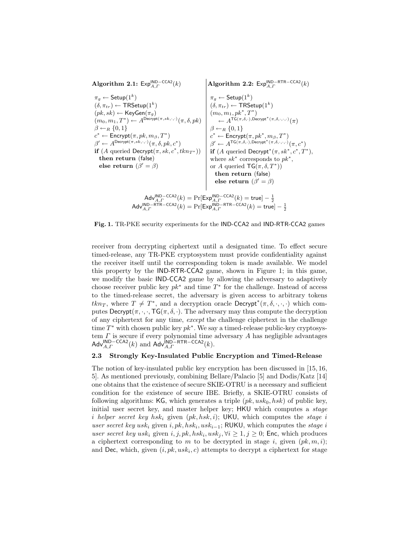Algorithm 2.1:  $Exp_{A,\Gamma}^{IND-CCA2}(k)$  $\pi_g \leftarrow \mathsf{Setup}(1^k)$  $(\delta, \pi_{tr}) \leftarrow \mathsf{TRSetup}(1^k)$  $(pk, sk) \leftarrow \mathsf{KeyGen}(\pi_g)$  $(m_0, m_1, T^*) \leftarrow A^{\text{Decrypt}(\pi, sk, \cdot, \cdot)}(\pi, \delta, pk)$  $\beta \leftarrow_R \{0, 1\}$  $c^* \leftarrow$  Encrypt $(\pi, pk, m_\beta, T^*)$  $\beta' \leftarrow A^{\mathsf{Decrypt}(\pi,sk,\cdot,\cdot)}(\pi,\delta,pk,c^*)$ if  $(A$  queried  $\mathsf{Decrypt}(\pi, sk, c^*, tkn_{T^*}))$ then return (false) else return  $(\beta' = \beta)$ Algorithm 2.2:  $Exp_{A,\Gamma}^{\textsf{IND-RTR-CCA2}}(k)$  $\pi_g \leftarrow \mathsf{Setup}(1^k)$  $(\delta, \pi_{tr}) \leftarrow \mathsf{TRSetup}(1^k)$  $(m_0, m_1, pk^*, T^*)$  $\leftarrow A^{\mathsf{TG}(\pi,\delta,\cdot),\mathsf{Decrypt}^*(\pi,\delta,\cdot,\cdot,\cdot)}(\pi)$  $\beta \leftarrow_R \{0, 1\}$  $c^* \leftarrow$  Encrypt $(\pi, pk^*, m_\beta, T^*)$  $\beta' \leftarrow A^{\textsf{TG}(\pi, \delta, \cdot), \textsf{Decrypt}^*(\pi, \delta, \cdot, \cdot, \cdot)}(\pi, c^*)$ if  $(A$  queried Decrypt<sup>\*</sup> $(\pi, sk^*, c^*, T^*)$ , where  $sk^*$  corresponds to  $pk^*$ , or A queried  $\mathsf{TG}(\pi,\delta,T^*))$ then return (false) else return  $(\beta' = \beta)$  $\mathsf{Adv}_{A,\Gamma}^{\mathsf{IND-CCA2}}(k) = \Pr[\mathsf{Exp}_{A,\Gamma}^{\mathsf{IND-CCA2}}(k) = \mathsf{true}] - \frac{1}{2}$ <br>  $\mathsf{Adv}_{A,\Gamma}^{\mathsf{IND-RTR-CCA2}}(k) = \Pr[\mathsf{Exp}_{A,\Gamma}^{\mathsf{IND-RTR-CCA2}}(k) = \mathsf{true}] - \frac{1}{2}$ 

Fig. 1. TR-PKE security experiments for the IND-CCA2 and IND-RTR-CCA2 games

receiver from decrypting ciphertext until a designated time. To effect secure timed-release, any TR-PKE cryptosystem must provide confidentiality against the receiver itself until the corresponding token is made available. We model this property by the IND-RTR-CCA2 game, shown in Figure 1; in this game, we modify the basic IND-CCA2 game by allowing the adversary to adaptively choose receiver public key  $pk^*$  and time  $T^*$  for the challenge. Instead of access to the timed-release secret, the adversary is given access to arbitrary tokens tkn<sub>T</sub>, where  $T \neq T^*$ , and a decryption oracle Decrypt<sup>\*</sup> $(\pi, \delta, \cdot, \cdot, \cdot)$  which computes  $\text{Decrypt}(\pi, \cdot, \cdot, \text{TG}(\pi, \delta, \cdot))$ . The adversary may thus compute the decryption of any ciphertext for any time, except the challenge ciphertext in the challenge time  $T^*$  with chosen public key  $pk^*$ . We say a timed-release public-key cryptosystem  $\Gamma$  is secure if every polynomial time adversary  $A$  has negligible advantages Adv ${}_{A,\Gamma}^{IND-CCA2}(k)$  and Adv ${}_{A,\Gamma}^{IND-RTR-CCA2}(k)$ .

## 2.3 Strongly Key-Insulated Public Encryption and Timed-Release

The notion of key-insulated public key encryption has been discussed in [15, 16, 5]. As mentioned previously, combining Bellare/Palacio [5] and Dodis/Katz [14] one obtains that the existence of secure SKIE-OTRU is a necessary and sufficient condition for the existence of secure IBE. Briefly, a SKIE-OTRU consists of following algorithms: KG, which generates a triple  $(pk, usk_0, hsk)$  of public key, initial user secret key, and master helper key; HKU which computes a stage i helper secret key hsk<sub>i</sub> given  $(pk, hsk, i)$ ; UKU, which computes the stage i user secret key usk<sub>i</sub> given i, pk, hsk<sub>i</sub>, usk<sub>i-1</sub>; RUKU, which computes the stage i user secret key usk<sub>i</sub> given  $i, j, pk, hsk_i, usk_j, \forall i \geq 1, j \geq 0$ ; Enc, which produces a ciphertext corresponding to m to be decrypted in stage i, given  $(pk, m, i);$ and Dec, which, given  $(i, pk, usk_i, c)$  attempts to decrypt a ciphertext for stage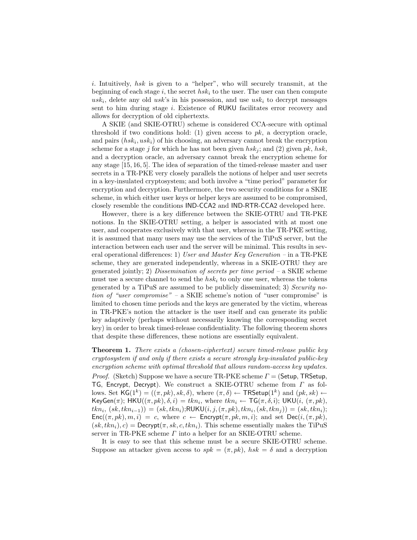i. Intuitively, hsk is given to a "helper", who will securely transmit, at the beginning of each stage i, the secret  $hsk_i$  to the user. The user can then compute  $usk_i$ , delete any old usk's in his possession, and use usk<sub>i</sub> to decrypt messages sent to him during stage i. Existence of RUKU facilitates error recovery and allows for decryption of old ciphertexts.

A SKIE (and SKIE-OTRU) scheme is considered CCA-secure with optimal threshold if two conditions hold: (1) given access to  $pk$ , a decryption oracle, and pairs  $(hsk_i,usk_i)$  of his choosing, an adversary cannot break the encryption scheme for a stage j for which he has not been given  $h s k_j$ ; and (2) given pk, hsk, and a decryption oracle, an adversary cannot break the encryption scheme for any stage [15, 16, 5]. The idea of separation of the timed-release master and user secrets in a TR-PKE very closely parallels the notions of helper and user secrets in a key-insulated cryptosystem; and both involve a "time period" parameter for encryption and decryption. Furthermore, the two security conditions for a SKIE scheme, in which either user keys or helper keys are assumed to be compromised, closely resemble the conditions IND-CCA2 and IND-RTR-CCA2 developed here.

However, there is a key difference between the SKIE-OTRU and TR-PKE notions. In the SKIE-OTRU setting, a helper is associated with at most one user, and cooperates exclusively with that user, whereas in the TR-PKE setting, it is assumed that many users may use the services of the TiPuS server, but the interaction between each user and the server will be minimal. This results in several operational differences: 1) User and Master Key Generation – in a TR-PKE scheme, they are generated independently, whereas in a SKIE-OTRU they are generated jointly; 2) Dissemination of secrets per time period  $-$  a SKIE scheme must use a secure channel to send the  $h s k_i$  to only one user, whereas the tokens generated by a TiPuS are assumed to be publicly disseminated; 3) Security notion of "user compromise" – a SKIE scheme's notion of "user compromise" is limited to chosen time periods and the keys are generated by the victim, whereas in TR-PKE's notion the attacker is the user itself and can generate its public key adaptively (perhaps without necessarily knowing the corresponding secret key) in order to break timed-release confidentiality. The following theorem shows that despite these differences, these notions are essentially equivalent.

Theorem 1. There exists a (chosen-ciphertext) secure timed-release public key cryptosystem if and only if there exists a secure strongly key-insulated public-key encryption scheme with optimal threshold that allows random-access key updates. *Proof.* (Sketch) Suppose we have a secure TR-PKE scheme  $\Gamma =$  (Setup, TRSetup, TG, Encrypt, Decrypt). We construct a SKIE-OTRU scheme from Γ as follows. Set  $\mathsf{KG}(1^k) = ((\pi, pk), sk, \delta)$ , where  $(\pi, \delta) \leftarrow \mathsf{TRSetup}(1^k)$  and  $(pk, sk) \leftarrow$ KeyGen( $\pi$ ); HKU $((\pi, pk), \delta, i) = tkn_i$ , where  $tkn_i \leftarrow \textsf{TG}(\pi, \delta, i)$ ; UKU $(i, (\pi, pk),$  $tkn_i, (sk, tkn_{i-1})) = (sk, tkn_i);$ RUKU $(i, j, (\pi, pk), tkn_i, (sk, tkn_j)) = (sk, tkn_i);$  $Enc((\pi, pk), m, i) = c$ , where  $c \leftarrow$  Encrypt $(\pi, pk, m, i)$ ; and set Dec $(i, (\pi, pk),$  $(sk, tkn_i), c) = \text{Decrypt}(\pi, sk, c, tkn_i)$ . This scheme essentially makes the TiPuS server in TR-PKE scheme  $\Gamma$  into a helper for an SKIE-OTRU scheme.

It is easy to see that this scheme must be a secure SKIE-OTRU scheme. Suppose an attacker given access to  $spk = (\pi, pk)$ ,  $hsk = \delta$  and a decryption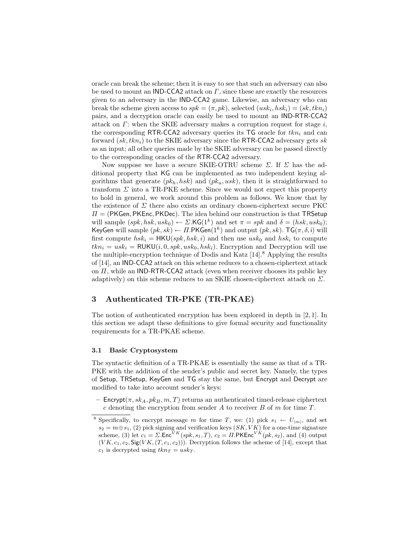oracle can break the scheme; then it is easy to see that such an adversary can also be used to mount an IND-CCA2 attack on  $\Gamma$ , since these are exactly the resources given to an adversary in the IND-CCA2 game. Likewise, an adversary who can break the scheme given access to  $spk = (\pi, pk)$ , selected  $(usk_i, hsk_i) = (sk, tkn_i)$ pairs, and a decryption oracle can easily be used to mount an IND-RTR-CCA2 attack on  $\Gamma$ : when the SKIE adversary makes a corruption request for stage i, the corresponding RTR-CCA2 adversary queries its  $TG$  oracle for  $tkn_i$  and can forward  $(sk, tkn_i)$  to the SKIE adversary since the RTR-CCA2 adversary gets sk as an input; all other queries made by the SKIE adversary can be passed directly to the corresponding oracles of the RTR-CCA2 adversary.

Now suppose we have a secure SKIE-OTRU scheme  $\Sigma$ . If  $\Sigma$  has the additional property that KG can be implemented as two independent keying algorithms that generate  $(pk_h, hsk)$  and  $(pk_u, usk)$ , then it is straightforward to transform  $\Sigma$  into a TR-PKE scheme. Since we would not expect this property to hold in general, we work around this problem as follows. We know that by the existence of  $\Sigma$  there also exists an ordinary chosen-ciphertext secure PKC  $\Pi$  = (PKGen, PKEnc, PKDec). The idea behind our construction is that TRSetup will sample  $(spk, hsk, usk_0) \leftarrow \Sigma \cdot \text{KG}(1^k)$  and set  $\pi = spk$  and  $\delta = (hsk, usk_0);$ KeyGen will sample  $(pk, sk) \leftarrow \Pi.\mathsf{PKGen}(1^k)$  and output  $(pk, sk)$ . TG $(\pi, \delta, \mathfrak{i})$  will first compute  $h s k_i = \text{HKU}(spk, h s k, i)$  and then use  $u s k_0$  and  $h s k_i$  to compute  $tkn_i = usk_i = \text{RUKU}(i, 0, spk, usk_0, hsk_i)$ . Encryption and Decryption will use the multiple-encryption technique of Dodis and Katz [14].<sup>8</sup> Applying the results of [14], an IND-CCA2 attack on this scheme reduces to a chosen-ciphertext attack on  $\Pi$ , while an IND-RTR-CCA2 attack (even when receiver chooses its public key adaptively) on this scheme reduces to an SKIE chosen-ciphertext attack on  $\Sigma$ .

# 3 Authenticated TR-PKE (TR-PKAE)

The notion of authenticated encryption has been explored in depth in [2, 1]. In this section we adapt these definitions to give formal security and functionality requirements for a TR-PKAE scheme.

#### 3.1 Basic Cryptosystem

The syntactic definition of a TR-PKAE is essentially the same as that of a TR-PKE with the addition of the sender's public and secret key. Namely, the types of Setup, TRSetup, KeyGen and TG stay the same, but Encrypt and Decrypt are modified to take into account sender's keys:

- Encrypt( $\pi$ ,  $sk_A$ ,  $pk_B$ ,  $m$ ,  $T$ ) returns an authenticated timed-release ciphertext c denoting the encryption from sender  $A$  to receiver  $B$  of  $m$  for time  $T$ .

<sup>&</sup>lt;sup>8</sup> Specifically, to encrypt message m for time T, we: (1) pick  $s_1 \leftarrow U_{|m|}$ , and set  $s_2 = m \oplus s_1$ , (2) pick signing and verification keys  $(SK, VK)$  for a one-time signature scheme, (3) let  $c_1 = \Sigma \text{.Enc}^{VK}(spk, s_1, T), c_2 = \Pi \text{.PKEnc}^{VK}(pk, s_2)$ , and (4) output  $(VK, c_1, c_2, \mathsf{Sig}(VK, (T, c_1, c_2)))$ . Decryption follows the scheme of [14], except that  $c_1$  is decrypted using  $tkn_T = usk_T$ .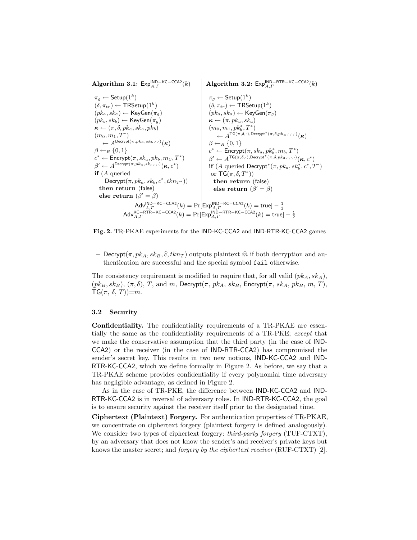Algorithm 3.1:  $\mathsf{Exp}_{A,\Gamma}^{\mathsf{IND}-\mathsf{KC}-\mathsf{CCA2}}(k)$  $\pi_g \leftarrow \mathsf{Setup}(1^k)$  $(\delta, \pi_{tr}) \leftarrow \mathsf{TRSetup}(1^k)$  $(pk_a, sk_a) \leftarrow \mathsf{KeyGen}(\pi_g)$  $(pk_b, sk_b) \leftarrow \mathsf{KeyGen}(\pi_q)$  $\kappa \leftarrow (\pi, \delta, p k_a, s k_a, p k_b)$  $(m_0, m_1, T^*)$  $\leftarrow A^{\mathsf{Decrypt}(\pi,pk_a,sk_b,\cdot,\cdot)}(\boldsymbol{\kappa})$  $\beta \leftarrow_R \{0, 1\}$  $c^* \leftarrow$  Encrypt $(\pi, sk_a, pk_b, m_\beta, T^*)$  $\beta' \leftarrow A^{\mathsf{Decrypt}(\pi, p k_a, s k_b, \cdot, \cdot)}(\boldsymbol{\kappa}, c^*)$ if (A queried  $\mathsf{Decrypt}(\pi, pk_a, sk_b, c^*, tkn_{T^*}))$ then return (false) else return  $(\beta' = \beta)$ Algorithm 3.2:  $\mathsf{Exp}_{A,\Gamma}^{\mathsf{IND-RTR-KC-CCA2}}(k)$  $\pi_g \leftarrow \mathsf{Setup}(1^k)$  $(\delta, \pi_{tr}) \leftarrow \mathsf{TRSetup}(1^k)$  $(pk_a, sk_a) \leftarrow \mathsf{KeyGen}(\pi_g)$  $\kappa \leftarrow (\pi, pk_a, sk_a)$  $(m_0, m_1, p k_b^*, T^*)$  $\leftarrow A^{\mathsf{TG}(\pi, \delta, \cdot), \mathsf{Decrypt}^*(\pi, \delta, p k_a, \cdot, \cdot, \cdot)}(\kappa)$  $\beta \leftarrow_R \{0,1\}$  $c^* \leftarrow$  Encrypt $(\pi, sk_a, pk_b^*, m_b, T^*)$  $\beta' \leftarrow A^{\textsf{TG}(\pi, \delta, \cdot), \textsf{Decrypt}^*(\pi, \delta, p k_a, \cdot, \cdot, \cdot)}(\kappa, c^*)$ if  $(A \text{ queried }\textsf{Decrypt}^*(\pi, pk_a, sk_b^*, c^*, T^*)$ or  $\mathsf{TG}(\pi,\delta,T^*))$ then return (false) else return  $(\beta' = \beta)$ Adv<sup>IND−KC−CCA2</sup>(*k*) = Pr[Exp<sup>IND−KC−CCA2</sup>(*k*) = true] -  $\frac{1}{2}$ <br>Adv<sup>KC−RTR−KC−CCA2</sup>(*k*) = Pr[Exp<sup>IND</sup>−<sup>RTR−KC−CCA2</sup>(*k*) = true] -  $\frac{1}{2}$ 

Fig. 2. TR-PKAE experiments for the IND-KC-CCA2 and IND-RTR-KC-CCA2 games

– Decrypt( $\pi$ ,  $pk_A$ ,  $sk_B$ ,  $\hat{c}$ ,  $tkn_T$ ) outputs plaintext  $\hat{m}$  if both decryption and authentication are successful and the special symbol fail otherwise.

The consistency requirement is modified to require that, for all valid  $(pk_A, sk_A)$ ,  $(pk_B, sk_B), (\pi, \delta), T$ , and m, Decrypt $(\pi, pk_A, sk_B,$  Encrypt $(\pi, sk_A, pk_B, m, T),$  $TG(\pi, \delta, T)$ =m.

#### 3.2 Security

Confidentiality. The confidentiality requirements of a TR-PKAE are essentially the same as the confidentiality requirements of a TR-PKE; except that we make the conservative assumption that the third party (in the case of IND-CCA2) or the receiver (in the case of IND-RTR-CCA2) has compromised the sender's secret key. This results in two new notions, IND-KC-CCA2 and IND-RTR-KC-CCA2, which we define formally in Figure 2. As before, we say that a TR-PKAE scheme provides confidentiality if every polynomial time adversary has negligible advantage, as defined in Figure 2.

As in the case of TR-PKE, the difference between IND-KC-CCA2 and IND-RTR-KC-CCA2 is in reversal of adversary roles. In IND-RTR-KC-CCA2, the goal is to ensure security against the receiver itself prior to the designated time.

Ciphertext (Plaintext) Forgery. For authentication properties of TR-PKAE, we concentrate on ciphertext forgery (plaintext forgery is defined analogously). We consider two types of ciphertext forgery: third-party forgery (TUF-CTXT), by an adversary that does not know the sender's and receiver's private keys but knows the master secret; and forgery by the ciphertext receiver (RUF-CTXT) [2].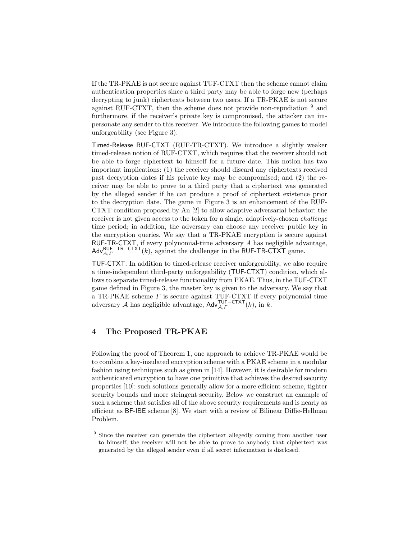If the TR-PKAE is not secure against TUF-CTXT then the scheme cannot claim authentication properties since a third party may be able to forge new (perhaps decrypting to junk) ciphertexts between two users. If a TR-PKAE is not secure against RUF-CTXT, then the scheme does not provide non-repudiation <sup>9</sup> and furthermore, if the receiver's private key is compromised, the attacker can impersonate any sender to this receiver. We introduce the following games to model unforgeability (see Figure 3).

Timed-Release RUF-CTXT (RUF-TR-CTXT). We introduce a slightly weaker timed-release notion of RUF-CTXT, which requires that the receiver should not be able to forge ciphertext to himself for a future date. This notion has two important implications: (1) the receiver should discard any ciphertexts received past decryption dates if his private key may be compromised; and (2) the receiver may be able to prove to a third party that a ciphertext was generated by the alleged sender if he can produce a proof of ciphertext existence prior to the decryption date. The game in Figure 3 is an enhancement of the RUF-CTXT condition proposed by An [2] to allow adaptive adversarial behavior: the receiver is not given access to the token for a single, adaptively-chosen challenge time period; in addition, the adversary can choose any receiver public key in the encryption queries. We say that a TR-PKAE encryption is secure against RUF-TR-CTXT, if every polynomial-time adversary A has negligible advantage, Adv<sup>RUF–TR–CTXT</sup> $(k)$ , against the challenger in the RUF-TR-CTXT game.

TUF-CTXT. In addition to timed-release receiver unforgeability, we also require a time-independent third-party unforgeability (TUF-CTXT) condition, which allows to separate timed-release functionality from PKAE. Thus, in the TUF-CTXT game defined in Figure 3, the master key is given to the adversary. We say that a TR-PKAE scheme  $\Gamma$  is secure against TUF-CTXT if every polynomial time adversary A has negligible advantage,  $\mathsf{Adv}_{\mathcal{A},\Gamma}^{\mathsf{TUF-CTXT}}(k)$ , in k.

# 4 The Proposed TR-PKAE

Following the proof of Theorem 1, one approach to achieve TR-PKAE would be to combine a key-insulated encryption scheme with a PKAE scheme in a modular fashion using techniques such as given in [14]. However, it is desirable for modern authenticated encryption to have one primitive that achieves the desired security properties [10]: such solutions generally allow for a more efficient scheme, tighter security bounds and more stringent security. Below we construct an example of such a scheme that satisfies all of the above security requirements and is nearly as efficient as BF-IBE scheme [8]. We start with a review of Bilinear Diffie-Hellman Problem.

<sup>&</sup>lt;sup>9</sup> Since the receiver can generate the ciphertext allegedly coming from another user to himself, the receiver will not be able to prove to anybody that ciphertext was generated by the alleged sender even if all secret information is disclosed.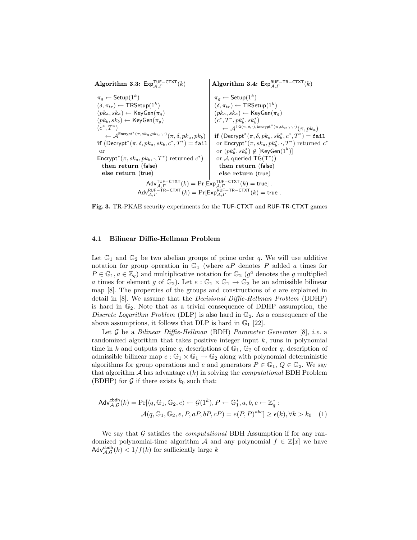Algorithm 3.3:  $\mathsf{Exp}_{\mathcal{A},\Gamma}^{\mathsf{TUF-CTXT}}(k)$  $\pi_g \leftarrow \mathsf{Setup}(1^k)$  $(\delta, \pi_{tr}) \leftarrow \mathsf{TRSetup}(1^k)$  $(pk_a, sk_a) \leftarrow \mathsf{KeyGen}(\pi_g)$  $(pk_b, sk_b) \leftarrow \mathsf{KeyGen}(\pi_g)$  $(c^*, T^*)$  $\stackrel{\sim}{\leftarrow} \mathcal{A}^{\mathsf{Encrypt}^*(\pi,sk_a,pk_b,\cdots)}(\pi,\delta,pk_a,pk_b)$ if  $($ Decrypt $*(\pi, \delta, p k_a, s k_b, c^*, T^*) = \texttt{fail}$ or Encrypt<sup>\*</sup> $(\pi, sk_a, pk_b, \cdot, T^*)$  returned  $c^*$ ) then return (false) else return (true) Algorithm 3.4:  $\mathsf{Exp}_{\mathcal{A},\varGamma}^{\mathsf{RUF-TR-CTXT}}(k)$  $\pi_g \leftarrow \mathsf{Setup}(1^k)$  $(\delta, \pi_{tr}) \leftarrow \mathsf{TRSetup}(1^k)$  $(pk_a, sk_a) \leftarrow \mathsf{KeyGen}(\pi_g)$  $(c^*,T^*,pk_b^*,sk_b^*)$  $\leftarrow \overline{\mathcal{A}}^{\textsf{TG}(\pi,\delta,\cdot),\textsf{Energy}^*(\pi,\textsf{sk}_\textsf{a},\cdot,\cdot,\cdot)}(\pi,pk_a)$  $\textbf{if} \, \left( \textsf{Decrypt}^*(\pi, \delta, \mathit{pk}_a, \mathit{sk}_b^*, c^*, T^* \right) = \texttt{fail}$ or  $\mathsf{Encrypt}^*(\pi, sk_a, pk_b^*, \cdot, T^*)$  returned  $c^*$ or  $(pk_b^*, sk_b^*) \not\in[\mathsf{KeyGen}(1^k)]$ or A queried  $TG(T^*)$ ) then return (false) else return (true)  $\mathsf{Adv}_{\mathcal{A},\varGamma}^{\mathsf{U}\mathsf{F}-\mathsf{CTX}\mathsf{T}}(k) = \Pr[\mathsf{Exp}_{\mathcal{A},\varGamma}^{\mathsf{T}\mathsf{U}\mathsf{F}-\mathsf{CTX}\mathsf{T}}(k) = \mathsf{true}]$ .  $\mathsf{Adv}_{\mathcal{A},\varGamma}^{\mathsf{RUF-TR-CTXT}}(k) = \Pr[\mathsf{Exp}_{\mathcal{A},\varGamma}^{\mathsf{RUF-TR-CTXT}}(k) = \mathsf{true} \ .$ 

Fig. 3. TR-PKAE security experiments for the TUF-CTXT and RUF-TR-CTXT games

#### 4.1 Bilinear Diffie-Hellman Problem

Let  $\mathbb{G}_1$  and  $\mathbb{G}_2$  be two abelian groups of prime order q. We will use additive notation for group operation in  $\mathbb{G}_1$  (where  $aP$  denotes P added a times for  $P \in \mathbb{G}_1, a \in \mathbb{Z}_q$ ) and multiplicative notation for  $\mathbb{G}_2$  ( $g^a$  denotes the g multiplied a times for element g of  $\mathbb{G}_2$ ). Let  $e : \mathbb{G}_1 \times \mathbb{G}_1 \to \mathbb{G}_2$  be an admissible bilinear map  $[8]$ . The properties of the groups and constructions of e are explained in detail in [8]. We assume that the Decisional Diffie-Hellman Problem (DDHP) is hard in  $\mathbb{G}_2$ . Note that as a trivial consequence of DDHP assumption, the Discrete Logarithm Problem (DLP) is also hard in  $\mathbb{G}_2$ . As a consequence of the above assumptions, it follows that DLP is hard in  $\mathbb{G}_1$  [22].

Let  $\mathcal G$  be a Bilinear Diffie-Hellman (BDH) Parameter Generator [8], i.e. a randomized algorithm that takes positive integer input  $k$ , runs in polynomial time in k and outputs prime q, descriptions of  $\mathbb{G}_1$ ,  $\mathbb{G}_2$  of order q, description of admissible bilinear map  $e : \mathbb{G}_1 \times \mathbb{G}_1 \to \mathbb{G}_2$  along with polynomial deterministic algorithms for group operations and e and generators  $P \in \mathbb{G}_1$ ,  $Q \in \mathbb{G}_2$ . We say that algorithm A has advantage  $\epsilon(k)$  in solving the *computational* BDH Problem (BDHP) for  $G$  if there exists  $k_0$  such that:

$$
\mathsf{Adv}_{\mathcal{A},\mathcal{G}}^{\mathsf{cbdh}}(k) = \Pr[\langle q, \mathbb{G}_1, \mathbb{G}_2, e \rangle \leftarrow \mathcal{G}(1^k), P \leftarrow \mathbb{G}_1^*, a, b, c \leftarrow \mathbb{Z}_q^* : \mathcal{A}(q, \mathbb{G}_1, \mathbb{G}_2, e, P, aP, bP, cP) = e(P, P)^{abc}] \ge \epsilon(k), \forall k > k_0 \quad (1)
$$

We say that  $\mathcal G$  satisfies the *computational* BDH Assumption if for any randomized polynomial-time algorithm A and any polynomial  $f \in \mathbb{Z}[x]$  we have  $\mathsf{Adv}_{\mathcal{A},\mathcal{G}}^{\mathsf{cbdh}}(k) < 1/f(k)$  for sufficiently large k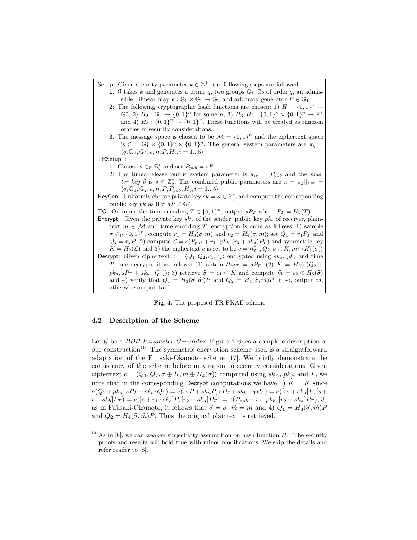Setup: Given security parameter  $k \in \mathbb{Z}^+$ , the following steps are followed

- 1: G takes k and generates a prime q, two groups  $\mathbb{G}_1$ ,  $\mathbb{G}_2$  of order q, an admissible bilinear map  $e : \mathbb{G}_1 \times \mathbb{G}_1 \to \mathbb{G}_2$  and arbitrary generator  $P \in \mathbb{G}_1$ .
- 2: The following cryptographic hash functions are chosen: 1)  $H_1: \{0,1\}^* \to$  $\mathbb{G}_1^*, 2)$   $H_2: \mathbb{G}_2 \to \{0,1\}^n$  for some  $n, 3)$   $H_3, H_4: \{0,1\}^n \times \{0,1\}^n \to \mathbb{Z}_q^*$ and 4)  $H_5: \{0,1\}^n \to \{0,1\}^n$ . These functions will be treated as random oracles in security considerations.
- 3: The message space is chosen to be  $\mathcal{M} = \{0, 1\}^n$  and the ciphertext space is  $C = \mathbb{G}_1^* \times \{0,1\}^n \times \{0,1\}^n$ . The general system parameters are  $\pi_g$  =  $\langle q, \mathbb{G}_1, \mathbb{G}_2, e, n, P, H_i, i = 1...5 \rangle$

TRSetup :

- 1: Choose  $s \in_R \mathbb{Z}_q^*$  and set  $P_{pub} = sP$ .
- 2: The timed-release public system parameter is  $\pi_{tr} = P_{pub}$  and the master key  $\delta$  is  $s \in \mathbb{Z}_q^*$ . The combined public parameters are  $\pi = \pi_g || \pi_{tr} =$  $\langle q, \mathbb{G}_1, \mathbb{G}_2, e, n, P, P_{pub}, H_i, i = 1...5 \rangle$
- KeyGen: Uniformly choose private key  $sk = a \in \mathbb{Z}_q^*$ , and compute the corresponding public key  $pk$  as  $0 \neq aP \in \mathbb{G}_1^*$ .
- **TG**: On input the time encoding  $T \in \{0, 1\}^n$ , output  $sP_T$  where  $P_T = H_1(T)$

Encrypt: Given the private key  $sk_a$  of the sender, public key  $pk_b$  of receiver, plaintext  $m \in \mathcal{M}$  and time encoding T, encryption is done as follows: 1) sample  $\sigma \in_R \{0,1\}^n$ , compute  $r_1 = H_3(\sigma, m)$  and  $r_2 = H_4(\sigma, m)$ ; set  $Q_1 = r_1 P_T$  and  $Q_2 = r_2P$ ; 2) compute  $\mathcal{L} = e(P_{pub} + r_1 \cdot pk_b, (r_2 + sk_a)P_T)$  and symmetric key  $K = H_2(\mathcal{L})$  and 3) the ciphertext c is set to be  $c = \langle Q_1, Q_2, \sigma \oplus K, m \oplus H_5(\sigma) \rangle$ Decrypt: Given ciphertext  $c = \langle Q_1, Q_2, c_1, c_2 \rangle$  encrypted using  $sk_a$ ,  $pk_b$  and time T, one decrypts it as follows: (1) obtain  $tkn_T = sP_T$ ; (2)  $K = H_2(e(Q_2 +$  $pk_a, sP_T + sk_b \cdot Q_1$ ; 3) retrieve  $\hat{\sigma} = c_1 \oplus \hat{K}$  and compute  $\hat{m} = c_2 \oplus H_5(\hat{\sigma})$ and 4) verify that  $Q_1 = H_3(\hat{\sigma}, \hat{m})P$  and  $Q_2 = H_4(\hat{\sigma}, \hat{m})P$ ; if so, output  $\hat{m}$ . otherwise output fail.

Fig. 4. The proposed TR-PKAE scheme

## 4.2 Description of the Scheme

Let  $G$  be a BDH Parameter Generator. Figure 4 gives a complete description of our construction<sup>10</sup>. The symmetric encryption scheme used is a straightforward adaptation of the Fujisaki-Okamoto scheme [17]. We briefly demonstrate the consistency of the scheme before moving on to security considerations. Given ciphertext  $c = \langle Q_1, Q_2, \sigma \oplus K, m \oplus H_4(\sigma) \rangle$  computed using  $sk_A$ ,  $pk_B$  and T, we note that in the corresponding Decrypt computations we have 1)  $\hat{K} = K$  since  $e(Q_2+pk_a, sP_T + sk_b \cdot Q_1) = e(r_2P + sk_aP, sP_T + sk_b \cdot r_1P_T) = e(r_2+sk_a]P, [s+$  $r_1 \cdot sk_b|P_T) = e([s + r_1 \cdot sk_b]P, [r_2 + sk_a]P_T) = e(P_{pub} + r_1 \cdot pk_b, [r_2 + sk_a]P_T),$  3) as in Fujisaki-Okamoto, it follows that  $\hat{\sigma} = \sigma$ ,  $\hat{m} = m$  and 4)  $Q_1 = H_3(\hat{\sigma}, \hat{m})P$ and  $Q_2 = H_4(\hat{\sigma}, \hat{m})P$ . Thus the original plaintext is retrieved.

<sup>&</sup>lt;sup>10</sup> As in [8], we can weaken surjectivity assumption on hash function  $H_1$ . The security proofs and results will hold true with minor modifications. We skip the details and refer reader to [8].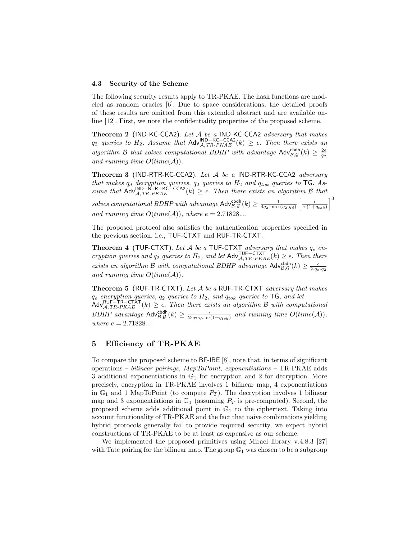#### 4.3 Security of the Scheme

The following security results apply to TR-PKAE. The hash functions are modeled as random oracles [6]. Due to space considerations, the detailed proofs of these results are omitted from this extended abstract and are available online [12]. First, we note the confidentiality properties of the proposed scheme.

**Theorem 2** (IND-KC-CCA2). Let A be a IND-KC-CCA2 adversary that makes  $q_2$  queries to  $H_2$ . Assume that  $\text{Adv}_{\mathcal{A},TR-PKAE}^{\text{IND}-\text{K}\text{C}-\text{CCA2}}(k) \geq \epsilon$ . Then there exists an algorithm B that solves computational BDHP with advantage  $\mathsf{Adv}_{\mathcal{B},\mathcal{G}}^{\mathsf{cbdh}}(k) \geq \frac{2\epsilon}{q_2}$ and running time  $O(time(A)).$ 

Theorem 3 (IND-RTR-KC-CCA2). Let A be a IND-RTR-KC-CCA2 adversary that makes  $q_d$  decryption queries,  $q_2$  queries to  $H_2$  and  $q_{tok}$  queries to TG. Assume that  $\text{Adv}_{\mathcal{A},TR-PKAE}^{\text{IND-FTR}-\text{KCCA2}}(k) \geq \epsilon$ . Then there exists an algorithm B that solves computational BDHP with advantage  $\text{Adv}_{\mathcal{B},\mathcal{G}}^{\text{cbdh}}(k) \geq \frac{1}{4q_2\cdot\max(q_2,q_d)}$  $\left[\frac{\epsilon}{e\cdot(1+q_{tok})}\right]$  $1^3$ and running time  $O(time(A))$ , where  $e = 2.71828...$ 

The proposed protocol also satisfies the authentication properties specified in the previous section, i.e., TUF-CTXT and RUF-TR-CTXT.

**Theorem 4 (TUF-CTXT).** Let A be a TUF-CTXT adversary that makes  $q_e$  encryption queries and  $q_2$  queries to  $H_2$ , and let  $\text{Adv}_{\mathcal{A},TR-PKAE}^{\text{IUF--CTXT}}(k) \geq \epsilon$ . Then there exists an algorithm B with computational BDHP advantage  $\text{Adv}_{B,G}^{\text{obdh}}(k) \geq \frac{\epsilon}{2 \cdot q_e \cdot q_2}$ and running time  $O(time(A)).$ 

**Theorem 5 (RUF-TR-CTXT)**. Let  $A$  be a RUF-TR-CTXT adversary that makes  $q_e$  encryption queries,  $q_2$  queries to  $H_2$ , and  $q_{tok}$  queries to  $\mathsf{TG},$  and let Adv<sup>RUF–TR-CTXT</sup> $(k) \geq \epsilon$ . Then there exists an algorithm B with computational BDHP advantage  $\text{Adv}^{\text{cbdh}}_{\mathcal{B},\mathcal{G}}(k) \ge \frac{\epsilon}{2 \cdot q_2 \cdot q_e \cdot e \cdot (1+q_{\text{tok}})}$  and running time  $O(\text{time}(\mathcal{A}))$ , where  $e = 2.71828...$ 

## 5 Efficiency of TR-PKAE

To compare the proposed scheme to BF-IBE [8], note that, in terms of significant operations – bilinear pairings, MapToPoint, exponentiations –  $TR$ -PKAE adds 3 additional exponentiations in  $\mathbb{G}_1$  for encryption and 2 for decryption. More precisely, encryption in TR-PKAE involves 1 bilinear map, 4 exponentiations in  $\mathbb{G}_1$  and 1 MapToPoint (to compute  $P_T$ ). The decryption involves 1 bilinear map and 3 exponentiations in  $\mathbb{G}_1$  (assuming  $P_T$  is pre-computed). Second, the proposed scheme adds additional point in  $\mathbb{G}_1$  to the ciphertext. Taking into account functionality of TR-PKAE and the fact that naive combinations yielding hybrid protocols generally fail to provide required security, we expect hybrid constructions of TR-PKAE to be at least as expensive as our scheme.

We implemented the proposed primitives using Miracl library v.4.8.3 [27] with Tate pairing for the bilinear map. The group  $\mathbb{G}_1$  was chosen to be a subgroup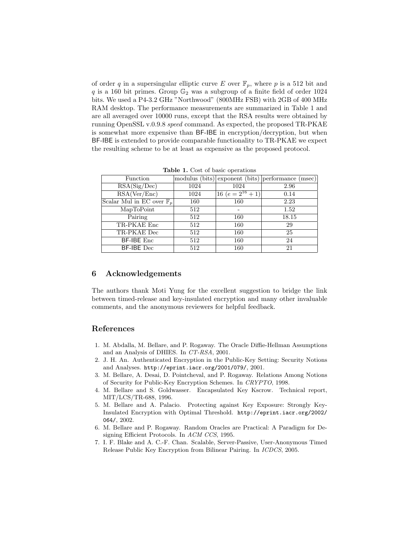of order q in a supersingular elliptic curve E over  $\mathbb{F}_p$ , where p is a 512 bit and q is a 160 bit primes. Group  $\mathbb{G}_2$  was a subgroup of a finite field of order 1024 bits. We used a P4-3.2 GHz "Northwood" (800MHz FSB) with 2GB of 400 MHz RAM desktop. The performance measurements are summarized in Table 1 and are all averaged over 10000 runs, except that the RSA results were obtained by running OpenSSL v.0.9.8 speed command. As expected, the proposed TR-PKAE is somewhat more expensive than BF-IBE in encryption/decryption, but when BF-IBE is extended to provide comparable functionality to TR-PKAE we expect the resulting scheme to be at least as expensive as the proposed protocol.

| Function                                       |      |                         | modulus (bits) exponent (bits) performance (msec) |
|------------------------------------------------|------|-------------------------|---------------------------------------------------|
| RSA(Sig/Dec)                                   | 1024 | 1024                    | 2.96                                              |
| $\overline{\text{RSA}}(\text{Ver}/\text{Enc})$ | 1024 | 16 ( $e = 2^{16} + 1$ ) | 0.14                                              |
| Scalar Mul in EC over $\mathbb{F}_p$           | 160  | 160                     | 2.23                                              |
| MapToPoint                                     | 512  |                         | 1.52                                              |
| Pairing                                        | 512  | 160                     | 18.15                                             |
| TR-PKAE Enc                                    | 512  | 160                     | 29                                                |
| TR-PKAE Dec                                    | 512  | 160                     | 25                                                |
| <b>BF-IBE</b> Enc                              | 512  | 160                     | 24                                                |
| <b>BF-IBE</b> Dec                              | 512  | 160                     | 21                                                |

Table 1. Cost of basic operations

# 6 Acknowledgements

The authors thank Moti Yung for the excellent suggestion to bridge the link between timed-release and key-insulated encryption and many other invaluable comments, and the anonymous reviewers for helpful feedback.

## References

- 1. M. Abdalla, M. Bellare, and P. Rogaway. The Oracle Diffie-Hellman Assumptions and an Analysis of DHIES. In CT-RSA, 2001.
- 2. J. H. An. Authenticated Encryption in the Public-Key Setting: Security Notions and Analyses. http://eprint.iacr.org/2001/079/, 2001.
- 3. M. Bellare, A. Desai, D. Pointcheval, and P. Rogaway. Relations Among Notions of Security for Public-Key Encryption Schemes. In CRYPTO, 1998.
- 4. M. Bellare and S. Goldwasser. Encapsulated Key Kscrow. Technical report, MIT/LCS/TR-688, 1996.
- 5. M. Bellare and A. Palacio. Protecting against Key Exposure: Strongly Key-Insulated Encryption with Optimal Threshold. http://eprint.iacr.org/2002/ 064/, 2002.
- 6. M. Bellare and P. Rogaway. Random Oracles are Practical: A Paradigm for Designing Efficient Protocols. In ACM CCS, 1995.
- 7. I. F. Blake and A. C.-F. Chan. Scalable, Server-Passive, User-Anonymous Timed Release Public Key Encryption from Bilinear Pairing. In ICDCS, 2005.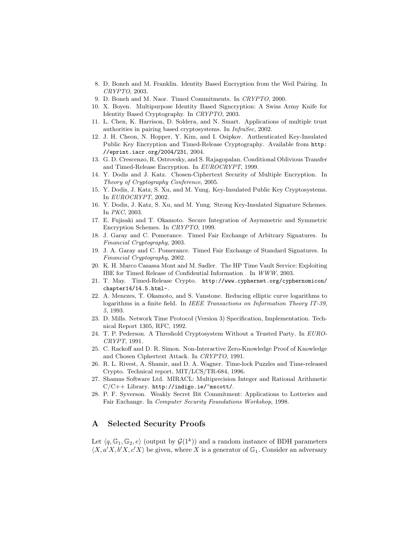- 8. D. Boneh and M. Franklin. Identity Based Encryption from the Weil Pairing. In CRYPTO, 2003.
- 9. D. Boneh and M. Naor. Timed Commitments. In CRYPTO, 2000.
- 10. X. Boyen. Multipurpose Identity Based Signcryption: A Swiss Army Knife for Identity Based Cryptography. In CRYPTO, 2003.
- 11. L. Chen, K. Harrison, D. Soldera, and N. Smart. Applications of multiple trust authorities in pairing based cryptosystems. In InfraSec, 2002.
- 12. J. H. Cheon, N. Hopper, Y. Kim, and I. Osipkov. Authenticated Key-Insulated Public Key Encryption and Timed-Release Cryptography. Available from http: //eprint.iacr.org/2004/231, 2004.
- 13. G. D. Crescenzo, R. Ostrovsky, and S. Rajagopalan. Conditional Oblivious Transfer and Timed-Release Encryption. In EUROCRYPT, 1999.
- 14. Y. Dodis and J. Katz. Chosen-Ciphertext Security of Multiple Encryption. In Theory of Cryptography Conference, 2005.
- 15. Y. Dodis, J. Katz, S. Xu, and M. Yung. Key-Insulated Public Key Cryptosystems. In EUROCRYPT, 2002.
- 16. Y. Dodis, J. Katz, S. Xu, and M. Yung. Strong Key-Insulated Signature Schemes. In PKC, 2003.
- 17. E. Fujisaki and T. Okamoto. Secure Integration of Asymmetric and Symmetric Encryption Schemes. In CRYPTO, 1999.
- 18. J. Garay and C. Pomerance. Timed Fair Exchange of Arbitrary Signatures. In Financial Cryptography, 2003.
- 19. J. A. Garay and C. Pomerance. Timed Fair Exchange of Standard Signatures. In Financial Cryptography, 2002.
- 20. K. H. Marco Casassa Mont and M. Sadler. The HP Time Vault Service: Exploiting IBE for Timed Release of Confidential Information . In WWW, 2003.
- 21. T. May. Timed-Release Crypto. http://www.cyphernet.org/cyphernomicon/ chapter14/14.5.html-.
- 22. A. Menezes, T. Okamoto, and S. Vanstone. Reducing elliptic curve logarithms to logarithms in a finite field. In IEEE Transactions on Information Theory IT-39, 5, 1993.
- 23. D. Mills. Network Time Protocol (Version 3) Specification, Implementation. Technical Report 1305, RFC, 1992.
- 24. T. P. Pederson. A Threshold Cryptosystem Without a Trusted Party. In EURO-CRYPT, 1991.
- 25. C. Rackoff and D. R. Simon. Non-Interactive Zero-Knowledge Proof of Knowledge and Chosen Ciphertext Attack. In CRYPTO, 1991.
- 26. R. L. Rivest, A. Shamir, and D. A. Wagner. Time-lock Puzzles and Time-released Crypto. Technical report, MIT/LCS/TR-684, 1996.
- 27. Shamus Software Ltd. MIRACL: Multiprecision Integer and Rational Arithmetic C/C++ Library. http://indigo.ie/~mscott/.
- 28. P. F. Syverson. Weakly Secret Bit Commitment: Applications to Lotteries and Fair Exchange. In Computer Security Foundations Workshop, 1998.

# A Selected Security Proofs

Let  $\langle q, \mathbb{G}_1, \mathbb{G}_2, e \rangle$  (output by  $\mathcal{G}(1^k)$ ) and a random instance of BDH parameters  $\langle X, a'X, b'X, c'X \rangle$  be given, where X is a generator of  $\mathbb{G}_1$ . Consider an adversary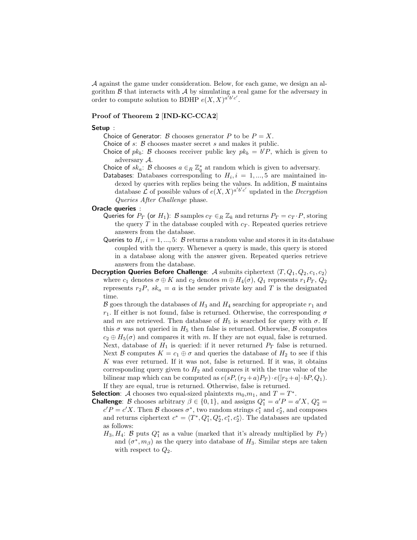A against the game under consideration. Below, for each game, we design an algorithm  $\beta$  that interacts with  $\mathcal A$  by simulating a real game for the adversary in order to compute solution to BDHP  $e(X, X)^{a'b'c'}$ .

## Proof of Theorem 2 [IND-KC-CCA2]

#### Setup :

Choice of Generator: B chooses generator P to be  $P = X$ .

- Choice of s:  $\beta$  chooses master secret s and makes it public.
- Choice of  $pk_b$ : B chooses receiver public key  $pk_b = b'P$ , which is given to adversary A.
- Choice of  $sk_a$ :  $\beta$  chooses  $a \in_R \mathbb{Z}_q^*$  at random which is given to adversary.
- Databases: Databases corresponding to  $H_i$ ,  $i = 1, ..., 5$  are maintained indexed by queries with replies being the values. In addition,  $\beta$  maintains database  $\mathcal L$  of possible values of  $e(X, X)^{a'b'c'}$  updated in the *Decryption* Queries After Challenge phase.

# Oracle queries

- Queries for  $P_T$  (or  $H_1$ ): B samples  $c_T \in_R \mathbb{Z}_k$  and returns  $P_T = c_T \cdot P$ , storing the query  $T$  in the database coupled with  $c_T$ . Repeated queries retrieve answers from the database.
- Queries to  $H_i, i = 1, ..., 5$ :  $\beta$  returns a random value and stores it in its database coupled with the query. Whenever a query is made, this query is stored in a database along with the answer given. Repeated queries retrieve answers from the database.
- Decryption Queries Before Challenge: A submits ciphertext  $\langle T, Q_1, Q_2, c_1, c_2 \rangle$ where  $c_1$  denotes  $\sigma \oplus K$  and  $c_2$  denotes  $m \oplus H_4(\sigma)$ ,  $Q_1$  represents  $r_1P_T$ ,  $Q_2$ represents  $r_2P$ ,  $sk_a = a$  is the sender private key and T is the designated time.

B goes through the databases of  $H_3$  and  $H_4$  searching for appropriate  $r_1$  and  $r_1$ . If either is not found, false is returned. Otherwise, the corresponding  $\sigma$ and m are retrieved. Then database of  $H_5$  is searched for query with  $\sigma$ . If this  $\sigma$  was not queried in  $H_5$  then false is returned. Otherwise,  $\beta$  computes  $c_2 \oplus H_5(\sigma)$  and compares it with m. If they are not equal, false is returned. Next, database of  $H_1$  is queried: if it never returned  $P_T$  false is returned. Next B computes  $K = c_1 \oplus \sigma$  and queries the database of  $H_2$  to see if this K was ever returned. If it was not, false is returned. If it was, it obtains corresponding query given to  $H_2$  and compares it with the true value of the bilinear map which can be computed as  $e(sP,(r_2+a)P_T) \cdot e([r_2+a] \cdot bP,Q_1)$ . If they are equal, true is returned. Otherwise, false is returned.

**Selection**: A chooses two equal-sized plaintexts  $m_0, m_1$ , and  $T = T^*$ .

- **Challenge**: *B* chooses arbitrary  $\beta \in \{0, 1\}$ , and assigns  $Q_1^* = a'P = a'X$ ,  $Q_2^* =$  $c'P = c'X$ . Then  $\mathcal B$  chooses  $\sigma^*$ , two random strings  $c_1^*$  and  $c_2^*$ , and composes and returns ciphertext  $c^* = \langle T^*, Q_1^*, Q_2^*, c_1^*, c_2^* \rangle$ . The databases are updated as follows:
	- $H_3, H_4$ :  $\beta$  puts  $Q_1^*$  as a value (marked that it's already multiplied by  $P_T$ ) and  $(\sigma^*, m_\beta)$  as the query into database of  $H_3$ . Similar steps are taken with respect to  $Q_2$ .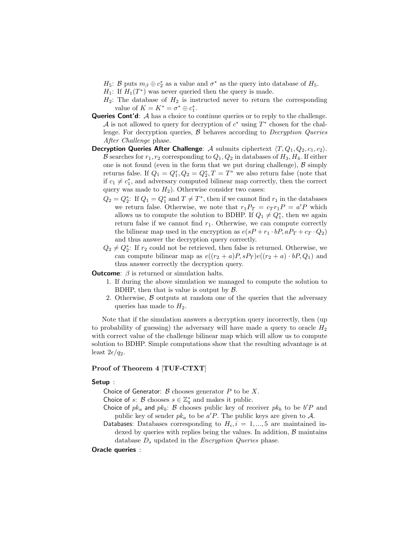- $H_5$ :  $\mathcal B$  puts  $m_\beta \oplus c_2^*$  as a value and  $\sigma^*$  as the query into database of  $H_5$ .
- $H_1$ : If  $H_1(T^*)$  was never queried then the query is made.
- $H_2$ : The database of  $H_2$  is instructed never to return the corresponding value of  $K = K^* = \sigma^* \oplus c_1^*$ .
- **Queries Cont'd:** A has a choice to continue queries or to reply to the challenge. A is not allowed to query for decryption of  $c^*$  using  $T^*$  chosen for the challenge. For decryption queries,  $\beta$  behaves according to *Decryption Queries* After Challenge phase.
- **Decryption Queries After Challenge**: A submits ciphertext  $\langle T, Q_1, Q_2, c_1, c_2 \rangle$ . B searches for  $r_1, r_2$  corresponding to  $Q_1, Q_2$  in databases of  $H_3, H_4$ . If either one is not found (even in the form that we put during challenge),  $\beta$  simply returns false. If  $Q_1 = Q_1^*, Q_2 = Q_2^*, T = T^*$  we also return false (note that if  $c_1 \neq c_1^*$ , and adversary computed bilinear map correctly, then the correct query was made to  $H_2$ ). Otherwise consider two cases:
	- $Q_2 = Q_2^*$ : If  $Q_1 = Q_1^*$  and  $T \neq T^*$ , then if we cannot find  $r_1$  in the databases we return false. Otherwise, we note that  $r_1P_T = c_Tr_1P = a'P$  which allows us to compute the solution to BDHP. If  $Q_1 \neq Q_1^*$ , then we again return false if we cannot find  $r_1$ . Otherwise, we can compute correctly the bilinear map used in the encryption as  $e(sP + r_1 \cdot bP, aP_T + c_T \cdot Q_2)$ and thus answer the decryption query correctly.
	- $Q_2 \neq Q_2^*$ : If  $r_2$  could not be retrieved, then false is returned. Otherwise, we can compute bilinear map as  $e((r_2 + a)P, sP_T)e((r_2 + a) \cdot bP, Q_1)$  and thus answer correctly the decryption query.

**Outcome**:  $\beta$  is returned or simulation halts.

- 1. If during the above simulation we managed to compute the solution to BDHP, then that is value is output by  $\beta$ .
- 2. Otherwise, B outputs at random one of the queries that the adversary queries has made to  $H_2$ .

Note that if the simulation answers a decryption query incorrectly, then (up to probability of guessing) the adversary will have made a query to oracle  $H_2$ with correct value of the challenge bilinear map which will allow us to compute solution to BDHP. Simple computations show that the resulting advantage is at least  $2\epsilon/q_2$ .

## Proof of Theorem 4 [TUF-CTXT]

#### Setup :

Choice of Generator:  $\beta$  chooses generator  $P$  to be  $X$ .

Choice of s: B chooses  $s \in \mathbb{Z}_q^*$  and makes it public.

- Choice of  $pk_a$  and  $pk_b$ :  $\beta$  chooses public key of receiver  $pk_b$  to be  $b'P$  and public key of sender  $pk_a$  to be  $a'P$ . The public keys are given to A.
- Databases: Databases corresponding to  $H_i$ ,  $i = 1, ..., 5$  are maintained indexed by queries with replies being the values. In addition,  $\beta$  maintains database  $D_s$  updated in the *Encryption Queries* phase.

## Oracle queries :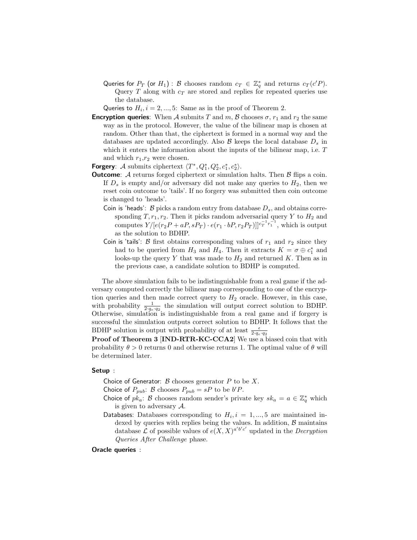Queries for  $P_T$  (or  $H_1$ ) : B chooses random  $c_T \in \mathbb{Z}_q^*$  and returns  $c_T(c'P)$ . Query  $T$  along with  $c_T$  are stored and replies for repeated queries use the database.

Queries to  $H_i$ ,  $i = 2, ..., 5$ : Same as in the proof of Theorem 2.

- **Encryption queries**: When A submits T and  $m$ , B chooses  $\sigma$ ,  $r_1$  and  $r_2$  the same way as in the protocol. However, the value of the bilinear map is chosen at random. Other than that, the ciphertext is formed in a normal way and the databases are updated accordingly. Also  $\beta$  keeps the local database  $D_s$  in which it enters the information about the inputs of the bilinear map, i.e.  $T$ and which  $r_1,r_2$  were chosen.
- **Forgery**: A submits ciphertext  $\langle T^*, Q_1^*, Q_2^*, c_1^*, c_2^* \rangle$ .
- **Outcome**: A returns forged ciphertext or simulation halts. Then  $\beta$  flips a coin. If  $D_s$  is empty and/or adversary did not make any queries to  $H_2$ , then we reset coin outcome to 'tails'. If no forgery was submitted then coin outcome is changed to 'heads'.
	- Coin is 'heads':  $\beta$  picks a random entry from database  $D_s$ , and obtains corresponding  $T, r_1, r_2$ . Then it picks random adversarial query Y to  $H_2$  and computes  $Y/[e(r_2P+aP, sP_T) \cdot e(r_1 \cdot bP, r_2P_T)]^{c_T^{-1}r_1^{-1}}$ , which is output as the solution to BDHP.
	- Coin is 'tails':  $\beta$  first obtains corresponding values of  $r_1$  and  $r_2$  since they had to be queried from  $H_3$  and  $H_4$ . Then it extracts  $K = \sigma \oplus c_1^*$  and looks-up the query Y that was made to  $H_2$  and returned K. Then as in the previous case, a candidate solution to BDHP is computed.

The above simulation fails to be indistinguishable from a real game if the adversary computed correctly the bilinear map corresponding to one of the encryption queries and then made correct query to  $H_2$  oracle. However, in this case, with probability  $\frac{1}{2 \cdot q_e \cdot q_2}$  the simulation will output correct solution to BDHP. Otherwise, simulation is indistinguishable from a real game and if forgery is successful the simulation outputs correct solution to BDHP. It follows that the BDHP solution is output with probability of at least  $\frac{\epsilon}{2 \cdot q_e \cdot q_2}$ 

Proof of Theorem 3 [IND-RTR-KC-CCA2] We use a biased coin that with probability  $\theta > 0$  returns 0 and otherwise returns 1. The optimal value of  $\theta$  will be determined later.

## Setup :

- Choice of Generator:  $\beta$  chooses generator  $P$  to be  $X$ .
- Choice of  $P_{pub}$ : B chooses  $P_{pub} = sP$  to be  $b'P$ .
- Choice of  $pk_a$ : B chooses random sender's private key  $sk_a = a \in \mathbb{Z}_q^*$  which is given to adversary A.
- Databases: Databases corresponding to  $H_i$ ,  $i = 1, ..., 5$  are maintained indexed by queries with replies being the values. In addition,  $\beta$  maintains database  $\mathcal L$  of possible values of  $e(X, X)^{a'b'c'}$  updated in the *Decryption* Queries After Challenge phase.

## Oracle queries :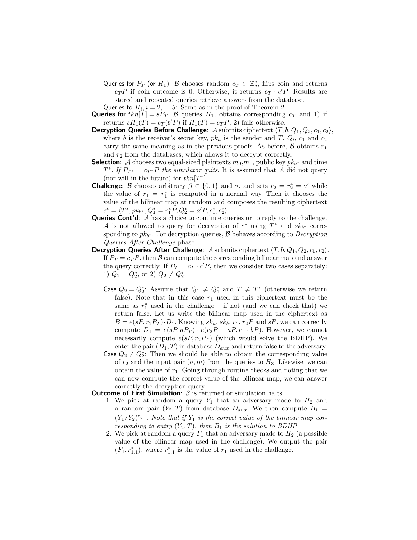- Queries for  $P_T$  (or  $H_1$ ): B chooses random  $c_T \in \mathbb{Z}_q^*$ , flips coin and returns  $c_T P$  if coin outcome is 0. Otherwise, it returns  $c_T \cdot c' P$ . Results are stored and repeated queries retrieve answers from the database.
- Queries to  $H_i$ ,  $i = 2, ..., 5$ : Same as in the proof of Theorem 2. **Queries for**  $tkn[T] = sP_T$ :  $\beta$  queries  $H_1$ , obtains corresponding  $c_T$  and 1) if
- returns  $sH_1(T) = c_T(b'P)$  if  $H_1(T) = c_T P$ , 2) fails otherwise.
- **Decryption Queries Before Challenge**: A submits ciphertext  $\langle T, b, Q_1, Q_2, c_1, c_2 \rangle$ , where b is the receiver's secret key,  $pk_a$  is the sender and T,  $Q_i$ ,  $c_1$  and  $c_2$ carry the same meaning as in the previous proofs. As before,  $\beta$  obtains  $r_1$ and  $r_2$  from the databases, which allows it to decrypt correctly.
- **Selection**: A chooses two equal-sized plaintexts  $m_0, m_1$ , public key  $pk_{b^*}$  and time  $T^*$ . If  $P_{T^*} = c_{T^*}P$  the simulator quits. It is assumed that A did not query (nor will in the future) for  $tkn[T^*]$ .
- **Challenge:** B chooses arbitrary  $\beta \in \{0, 1\}$  and  $\sigma$ , and sets  $r_2 = r_2^* = a'$  while the value of  $r_1 = r_1^*$  is computed in a normal way. Then it chooses the value of the bilinear map at random and composes the resulting ciphertext  $c^* = \langle T^*, pk_{b^*}, Q_1^* = r_1^*P, Q_2^* = a'P, c_1^*, c_2^* \rangle.$
- Queries Cont'd: A has a choice to continue queries or to reply to the challenge. A is not allowed to query for decryption of  $c^*$  using  $T^*$  and  $sk_{b^*}$  corresponding to  $pk_{b^*}$ . For decryption queries,  $B$  behaves according to  $Decryption$ Queries After Challenge phase.
- **Decryption Queries After Challenge**: A submits ciphertext  $\langle T, b, Q_1, Q_2, c_1, c_2 \rangle$ . If  $P_T = c_T P$ , then B can compute the corresponding bilinear map and answer the query correctly. If  $P_T = c_T \cdot c' P$ , then we consider two cases separately: 1)  $Q_2 = Q_2^*$ , or 2)  $Q_2 \neq Q_2^*$ .
	- Case  $Q_2 = Q_2^*$ : Assume that  $Q_1 \neq Q_1^*$  and  $T \neq T^*$  (otherwise we return false). Note that in this case  $r_1$  used in this ciphertext must be the same as  $r_1^*$  used in the challenge – if not (and we can check that) we return false. Let us write the bilinear map used in the ciphertext as  $B = e(sP, r_2P_T) \cdot D_1$ . Knowing  $sk_a, sk_b, r_1, r_2P$  and  $sP$ , we can correctly compute  $D_1 = e(sP, aP_T) \cdot e(r_2P + aP, r_1 \cdot bP)$ . However, we cannot necessarily compute  $e(sP, r_2P_T)$  (which would solve the BDHP). We enter the pair  $(D_1, T)$  in database  $D_{aux}$  and return false to the adversary.
	- Case  $Q_2 \neq Q_2^*$ : Then we should be able to obtain the corresponding value of  $r_2$  and the input pair  $(\sigma, m)$  from the queries to  $H_3$ . Likewise, we can obtain the value of  $r_1$ . Going through routine checks and noting that we can now compute the correct value of the bilinear map, we can answer correctly the decryption query.
- **Outcome of First Simulation**:  $\beta$  is returned or simulation halts.
	- 1. We pick at random a query  $Y_1$  that an adversary made to  $H_2$  and a random pair  $(Y_2, T)$  from database  $D_{aux}$ . We then compute  $B_1 =$  $(Y_1/Y_2)^{c_T^{-1}}$ . Note that if  $Y_1$  is the correct value of the bilinear map corresponding to entry  $(Y_2, T)$ , then  $B_1$  is the solution to BDHP
	- 2. We pick at random a query  $F_1$  that an adversary made to  $H_2$  (a possible value of the bilinear map used in the challenge). We output the pair  $(F_1, r_{1,1}^*)$ , where  $r_{1,1}^*$  is the value of  $r_1$  used in the challenge.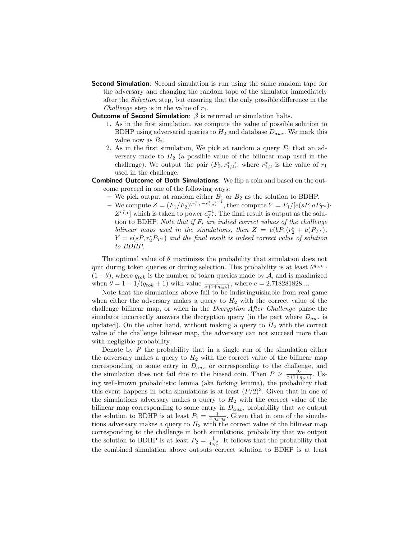**Second Simulation**: Second simulation is run using the same random tape for the adversary and changing the random tape of the simulator immediately after the Selection step, but ensuring that the only possible difference in the *Challenge* step is in the value of  $r_1$ .

**Outcome of Second Simulation**:  $\beta$  is returned or simulation halts.

- 1. As in the first simulation, we compute the value of possible solution to BDHP using adversarial queries to  $H_2$  and database  $D_{aux}$ . We mark this value now as  $B_2$ .
- 2. As in the first simulation, We pick at random a query  $F_2$  that an adversary made to  $H_2$  (a possible value of the bilinear map used in the challenge). We output the pair  $(F_2, r_{1,2}^*)$ , where  $r_{1,2}^*$  is the value of  $r_1$ used in the challenge.
- Combined Outcome of Both Simulations: We flip a coin and based on the outcome proceed in one of the following ways:
	- We pick output at random either  $B_1$  or  $B_2$  as the solution to BDHP.
	- $-$  We compute  $Z = (F_1/F_2)^{(r_{1,1}^* r_{1,2}^*)^{-1}}$ , then compute  $Y = F_1/[e(sP,aP_{T^*})$ .  $Z^{r_{1,1}^*}$ ] which is taken to power  $c_{T^*}^{-1}$ . The final result is output as the solution to BDHP. Note that if  $F_i$  are indeed correct values of the challenge bilinear maps used in the simulations, then  $Z = e(bP, (r_2^* + a)P_{T^*})$ ,  $Y = e(sP, r_2^*P_{T^*})$  and the final result is indeed correct value of solution to BDHP.

The optimal value of  $\theta$  maximizes the probability that simulation does not quit during token queries or during selection. This probability is at least  $\theta^{q_{tok}}$ .  $(1 - \theta)$ , where  $q_{tok}$  is the number of token queries made by A, and is maximized when  $\theta = 1 - 1/(q_{tok} + 1)$  with value  $\frac{1}{e \cdot (1 + q_{tok})}$ , where  $e = 2.718281828...$ 

Note that the simulations above fail to be indistinguishable from real game when either the adversary makes a query to  $H_2$  with the correct value of the challenge bilinear map, or when in the Decryption After Challenge phase the simulator incorrectly answers the decryption query (in the part where  $D_{aux}$  is updated). On the other hand, without making a query to  $H_2$  with the correct value of the challenge bilinear map, the adversary can not succeed more than with negligible probability.

Denote by  $P$  the probability that in a single run of the simulation either the adversary makes a query to  $H_2$  with the correct value of the bilinear map corresponding to some entry in  $D_{aux}$  or corresponding to the challenge, and the simulation does not fail due to the biased coin. Then  $P \geq \frac{2\epsilon}{e \cdot (1+q_{tok})}$ . Using well-known probabilistic lemma (aka forking lemma), the probability that this event happens in both simulations is at least  $(P/2)^3$ . Given that in one of the simulations adversary makes a query to  $H_2$  with the correct value of the bilinear map corresponding to some entry in  $D_{aux}$ , probability that we output the solution to BDHP is at least  $P_1 = \frac{1}{4 \cdot q_d \cdot q_2}$ . Given that in one of the simulations adversary makes a query to  $H_2$  with the correct value of the bilinear map corresponding to the challenge in both simulations, probability that we output the solution to BDHP is at least  $P_2 = \frac{1}{4 \cdot q_2^2}$ . It follows that the probability that the combined simulation above outputs correct solution to BDHP is at least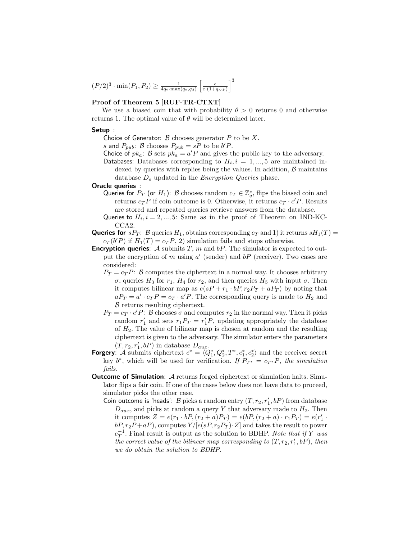$$
(P/2)^3 \cdot \min(P_1, P_2) \ge \frac{1}{4q_2 \cdot \max(q_2, q_d)} \left[\frac{\epsilon}{e \cdot (1 + q_{tok})}\right]^3
$$

#### Proof of Theorem 5 [RUF-TR-CTXT]

We use a biased coin that with probability  $\theta > 0$  returns 0 and otherwise returns 1. The optimal value of  $\theta$  will be determined later.

#### Setup :

Choice of Generator:  $\beta$  chooses generator  $P$  to be  $X$ .

s and  $P_{pub}$ : B chooses  $P_{pub} = sP$  to be  $b'P$ .

- Choice of  $pk_a$ : B sets  $pk_a = a'P$  and gives the public key to the adversary.
- Databases: Databases corresponding to  $H_i$ ,  $i = 1, ..., 5$  are maintained indexed by queries with replies being the values. In addition,  $\beta$  maintains database  $D_s$  updated in the *Encryption Queries* phase.

## Oracle queries :

- Queries for  $P_T$  (or  $H_1$ ): B chooses random  $c_T \in \mathbb{Z}_q^*$ , flips the biased coin and returns  $c_T P$  if coin outcome is 0. Otherwise, it returns  $c_T \cdot c' P$ . Results are stored and repeated queries retrieve answers from the database.
- Queries to  $H_i$ ,  $i = 2, ..., 5$ : Same as in the proof of Theorem on IND-KC-CCA<sub>2</sub>.
- **Queries for**  $sP_T$ : B queries  $H_1$ , obtains corresponding  $c_T$  and 1) it returns  $sH_1(T)$  $c_T(b'P)$  if  $H_1(T) = c_T P$ , 2) simulation fails and stops otherwise.
- **Encryption queries:** A submits  $T$ ,  $m$  and  $bP$ . The simulator is expected to output the encryption of m using  $a'$  (sender) and  $bP$  (receiver). Two cases are considered:
	- $P_T = c_T P$ : B computes the ciphertext in a normal way. It chooses arbitrary σ, queries  $H_3$  for  $r_1$ ,  $H_4$  for  $r_2$ , and then queries  $H_5$  with input σ. Then it computes bilinear map as  $e(sP + r_1 \cdot bP, r_2P_T + aP_T)$  by noting that  $aP_T = a' \cdot c_T P = c_T \cdot a'P$ . The corresponding query is made to  $H_2$  and B returns resulting ciphertext.
	- $P_T = c_T \cdot c' P$ : B chooses  $\sigma$  and computes  $r_2$  in the normal way. Then it picks random  $r'_1$  and sets  $r_1P_T = r'_1P$ , updating appropriately the database of  $H_2$ . The value of bilinear map is chosen at random and the resulting ciphertext is given to the adversary. The simulator enters the parameters  $(T, r_2, r'_1, bP)$  in database  $D_{aux}$ .
- **Forgery:** A submits ciphertext  $c^* = \langle Q_1^*, Q_2^*, T^*, c_1^*, c_2^* \rangle$  and the receiver secret key  $b^*$ , which will be used for verification. If  $P_{T^*} = c_{T^*}P$ , the simulation fails.
- **Outcome of Simulation:** A returns forged ciphertext or simulation halts. Simulator flips a fair coin. If one of the cases below does not have data to proceed, simulator picks the other case.
	- Coin outcome is 'heads':  $\mathcal B$  picks a random entry  $(T, r_2, r_1', bP)$  from database  $D_{aux}$ , and picks at random a query Y that adversary made to  $H_2$ . Then it computes  $Z = e(r_1 \cdot bP, (r_2 + a)P_T) = e(bP, (r_2 + a) \cdot r_1P_T) = e(r'_1 \cdot bP, (r_2 + a) \cdot r_2 \cdot r_2)$  $bP, r_2P+aP$ , computes  $Y/[e(sP, r_2P_T) \cdot Z]$  and takes the result to power  $c_T^{-1}$ . Final result is output as the solution to BDHP. Note that if Y was the correct value of the bilinear map corresponding to  $(T, r_2, r'_1, bP)$ , then we do obtain the solution to BDHP.